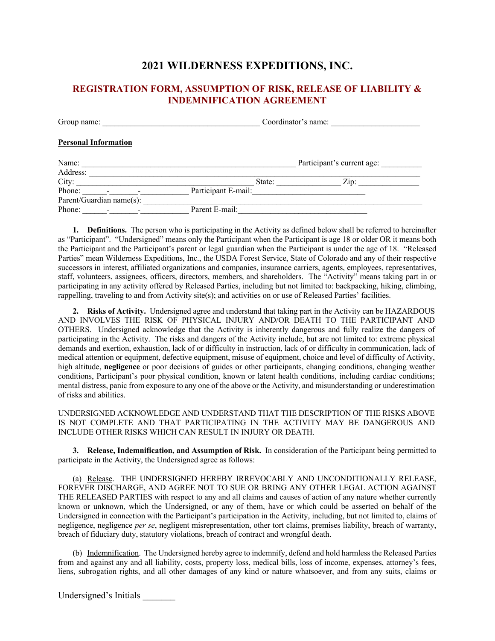## **2021 WILDERNESS EXPEDITIONS, INC.**

## **REGISTRATION FORM, ASSUMPTION OF RISK, RELEASE OF LIABILITY & INDEMNIFICATION AGREEMENT**

Group name:  $Covdinator's name:$ 

### **Personal Information**

| Name:<br>Address: |                          |                          |                     |        | Participant's current age: |  |
|-------------------|--------------------------|--------------------------|---------------------|--------|----------------------------|--|
| City:             |                          |                          |                     | State: | $\mathsf{Z}$ ip:           |  |
| Phone:            | $\blacksquare$           | $\blacksquare$           | Participant E-mail: |        |                            |  |
|                   | Parent/Guardian name(s): |                          |                     |        |                            |  |
| Phone:            | $\overline{\phantom{a}}$ | $\overline{\phantom{0}}$ | Parent E-mail:      |        |                            |  |

**1. Definitions.** The person who is participating in the Activity as defined below shall be referred to hereinafter as "Participant". "Undersigned" means only the Participant when the Participant is age 18 or older OR it means both the Participant and the Participant's parent or legal guardian when the Participant is under the age of 18. "Released Parties" mean Wilderness Expeditions, Inc., the USDA Forest Service, State of Colorado and any of their respective successors in interest, affiliated organizations and companies, insurance carriers, agents, employees, representatives, staff, volunteers, assignees, officers, directors, members, and shareholders. The "Activity" means taking part in or participating in any activity offered by Released Parties, including but not limited to: backpacking, hiking, climbing, rappelling, traveling to and from Activity site(s); and activities on or use of Released Parties' facilities.

**2. Risks of Activity.** Undersigned agree and understand that taking part in the Activity can be HAZARDOUS AND INVOLVES THE RISK OF PHYSICAL INJURY AND/OR DEATH TO THE PARTICIPANT AND OTHERS. Undersigned acknowledge that the Activity is inherently dangerous and fully realize the dangers of participating in the Activity. The risks and dangers of the Activity include, but are not limited to: extreme physical demands and exertion, exhaustion, lack of or difficulty in instruction, lack of or difficulty in communication, lack of medical attention or equipment, defective equipment, misuse of equipment, choice and level of difficulty of Activity, high altitude, **negligence** or poor decisions of guides or other participants, changing conditions, changing weather conditions, Participant's poor physical condition, known or latent health conditions, including cardiac conditions; mental distress, panic from exposure to any one of the above or the Activity, and misunderstanding or underestimation of risks and abilities.

UNDERSIGNED ACKNOWLEDGE AND UNDERSTAND THAT THE DESCRIPTION OF THE RISKS ABOVE IS NOT COMPLETE AND THAT PARTICIPATING IN THE ACTIVITY MAY BE DANGEROUS AND INCLUDE OTHER RISKS WHICH CAN RESULT IN INJURY OR DEATH.

**3. Release, Indemnification, and Assumption of Risk.** In consideration of the Participant being permitted to participate in the Activity, the Undersigned agree as follows:

(a) Release. THE UNDERSIGNED HEREBY IRREVOCABLY AND UNCONDITIONALLY RELEASE, FOREVER DISCHARGE, AND AGREE NOT TO SUE OR BRING ANY OTHER LEGAL ACTION AGAINST THE RELEASED PARTIES with respect to any and all claims and causes of action of any nature whether currently known or unknown, which the Undersigned, or any of them, have or which could be asserted on behalf of the Undersigned in connection with the Participant's participation in the Activity, including, but not limited to, claims of negligence, negligence *per se*, negligent misrepresentation, other tort claims, premises liability, breach of warranty, breach of fiduciary duty, statutory violations, breach of contract and wrongful death.

(b) Indemnification. The Undersigned hereby agree to indemnify, defend and hold harmless the Released Parties from and against any and all liability, costs, property loss, medical bills, loss of income, expenses, attorney's fees, liens, subrogation rights, and all other damages of any kind or nature whatsoever, and from any suits, claims or

Undersigned's Initials \_\_\_\_\_\_\_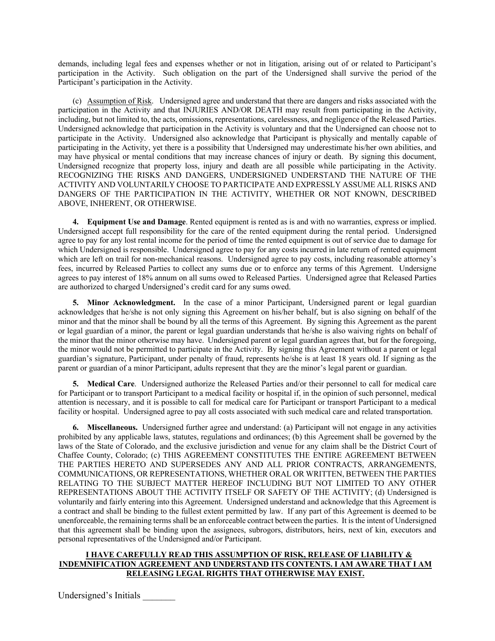demands, including legal fees and expenses whether or not in litigation, arising out of or related to Participant's participation in the Activity. Such obligation on the part of the Undersigned shall survive the period of the Participant's participation in the Activity.

(c) Assumption of Risk. Undersigned agree and understand that there are dangers and risks associated with the participation in the Activity and that INJURIES AND/OR DEATH may result from participating in the Activity, including, but not limited to, the acts, omissions, representations, carelessness, and negligence of the Released Parties. Undersigned acknowledge that participation in the Activity is voluntary and that the Undersigned can choose not to participate in the Activity. Undersigned also acknowledge that Participant is physically and mentally capable of participating in the Activity, yet there is a possibility that Undersigned may underestimate his/her own abilities, and may have physical or mental conditions that may increase chances of injury or death. By signing this document, Undersigned recognize that property loss, injury and death are all possible while participating in the Activity. RECOGNIZING THE RISKS AND DANGERS, UNDERSIGNED UNDERSTAND THE NATURE OF THE ACTIVITY AND VOLUNTARILY CHOOSE TO PARTICIPATE AND EXPRESSLY ASSUME ALL RISKS AND DANGERS OF THE PARTICIPATION IN THE ACTIVITY, WHETHER OR NOT KNOWN, DESCRIBED ABOVE, INHERENT, OR OTHERWISE.

**4. Equipment Use and Damage**. Rented equipment is rented as is and with no warranties, express or implied. Undersigned accept full responsibility for the care of the rented equipment during the rental period. Undersigned agree to pay for any lost rental income for the period of time the rented equipment is out of service due to damage for which Undersigned is responsible. Undersigned agree to pay for any costs incurred in late return of rented equipment which are left on trail for non-mechanical reasons. Undersigned agree to pay costs, including reasonable attorney's fees, incurred by Released Parties to collect any sums due or to enforce any terms of this Agrement. Undersigne agrees to pay interest of 18% annum on all sums owed to Released Parties. Undersigned agree that Released Parties are authorized to charged Undersigned's credit card for any sums owed.

**5. Minor Acknowledgment.** In the case of a minor Participant, Undersigned parent or legal guardian acknowledges that he/she is not only signing this Agreement on his/her behalf, but is also signing on behalf of the minor and that the minor shall be bound by all the terms of this Agreement. By signing this Agreement as the parent or legal guardian of a minor, the parent or legal guardian understands that he/she is also waiving rights on behalf of the minor that the minor otherwise may have. Undersigned parent or legal guardian agrees that, but for the foregoing, the minor would not be permitted to participate in the Activity. By signing this Agreement without a parent or legal guardian's signature, Participant, under penalty of fraud, represents he/she is at least 18 years old. If signing as the parent or guardian of a minor Participant, adults represent that they are the minor's legal parent or guardian.

**5. Medical Care**. Undersigned authorize the Released Parties and/or their personnel to call for medical care for Participant or to transport Participant to a medical facility or hospital if, in the opinion of such personnel, medical attention is necessary, and it is possible to call for medical care for Participant or transport Participant to a medical facility or hospital. Undersigned agree to pay all costs associated with such medical care and related transportation.

**6. Miscellaneous.** Undersigned further agree and understand: (a) Participant will not engage in any activities prohibited by any applicable laws, statutes, regulations and ordinances; (b) this Agreement shall be governed by the laws of the State of Colorado, and the exclusive jurisdiction and venue for any claim shall be the District Court of Chaffee County, Colorado; (c) THIS AGREEMENT CONSTITUTES THE ENTIRE AGREEMENT BETWEEN THE PARTIES HERETO AND SUPERSEDES ANY AND ALL PRIOR CONTRACTS, ARRANGEMENTS, COMMUNICATIONS, OR REPRESENTATIONS, WHETHER ORAL OR WRITTEN, BETWEEN THE PARTIES RELATING TO THE SUBJECT MATTER HEREOF INCLUDING BUT NOT LIMITED TO ANY OTHER REPRESENTATIONS ABOUT THE ACTIVITY ITSELF OR SAFETY OF THE ACTIVITY; (d) Undersigned is voluntarily and fairly entering into this Agreement. Undersigned understand and acknowledge that this Agreement is a contract and shall be binding to the fullest extent permitted by law. If any part of this Agreement is deemed to be unenforceable, the remaining terms shall be an enforceable contract between the parties. It is the intent of Undersigned that this agreement shall be binding upon the assignees, subrogors, distributors, heirs, next of kin, executors and personal representatives of the Undersigned and/or Participant.

### **I HAVE CAREFULLY READ THIS ASSUMPTION OF RISK, RELEASE OF LIABILITY & INDEMNIFICATION AGREEMENT AND UNDERSTAND ITS CONTENTS. I AM AWARE THAT I AM RELEASING LEGAL RIGHTS THAT OTHERWISE MAY EXIST.**

Undersigned's Initials \_\_\_\_\_\_\_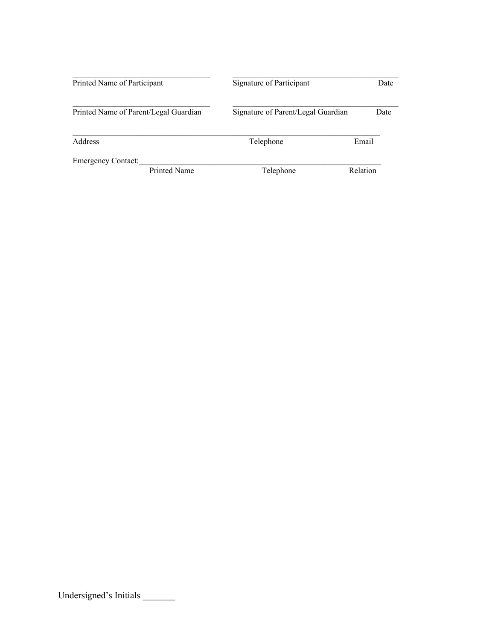| Printed Name of Participant           | Signature of Participant           | Date     |  |
|---------------------------------------|------------------------------------|----------|--|
| Printed Name of Parent/Legal Guardian | Signature of Parent/Legal Guardian | Date     |  |
| Address                               | Telephone                          | Email    |  |
| <b>Emergency Contact:</b>             |                                    |          |  |
| Printed Name                          | Telephone                          | Relation |  |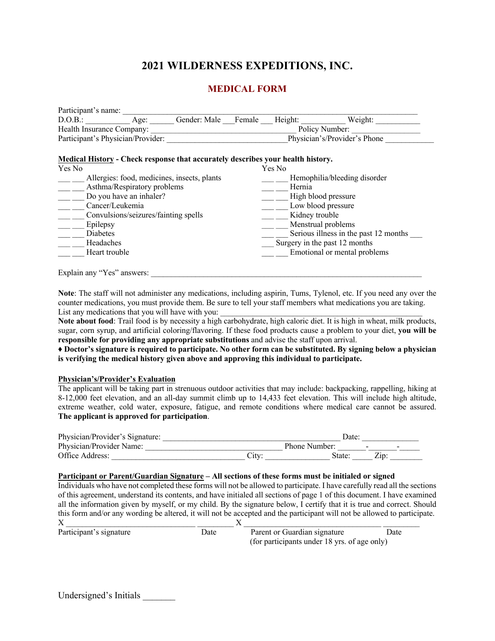# **2021 WILDERNESS EXPEDITIONS, INC.**

### **MEDICAL FORM**

| Participant's name:               |      |                     |                              |         |         |  |
|-----------------------------------|------|---------------------|------------------------------|---------|---------|--|
| D.O.B.:                           | Age: | Gender: Male Female |                              | Height: | Weight: |  |
| Health Insurance Company:         |      |                     | Policy Number:               |         |         |  |
| Participant's Physician/Provider: |      |                     | Physician's/Provider's Phone |         |         |  |

### **Medical History - Check response that accurately describes your health history.**

| Yes No                                      | Yes No                                |
|---------------------------------------------|---------------------------------------|
| Allergies: food, medicines, insects, plants | Hemophilia/bleeding disorder          |
| Asthma/Respiratory problems                 | Hernia                                |
| Do you have an inhaler?                     | High blood pressure                   |
| Cancer/Leukemia                             | Low blood pressure                    |
| Convulsions/seizures/fainting spells        | Kidney trouble                        |
| Epilepsy                                    | Menstrual problems                    |
| <b>Diabetes</b>                             | Serious illness in the past 12 months |
| Headaches                                   | Surgery in the past 12 months         |
| Heart trouble                               | Emotional or mental problems          |
|                                             |                                       |
| Explain any "Yes" answers:                  |                                       |

**Note**: The staff will not administer any medications, including aspirin, Tums, Tylenol, etc. If you need any over the counter medications, you must provide them. Be sure to tell your staff members what medications you are taking. List any medications that you will have with you:

**Note about food**: Trail food is by necessity a high carbohydrate, high caloric diet. It is high in wheat, milk products, sugar, corn syrup, and artificial coloring/flavoring. If these food products cause a problem to your diet, **you will be responsible for providing any appropriate substitutions** and advise the staff upon arrival.

**♦ Doctor's signature is required to participate. No other form can be substituted. By signing below a physician is verifying the medical history given above and approving this individual to participate.** 

### **Physician's/Provider's Evaluation**

The applicant will be taking part in strenuous outdoor activities that may include: backpacking, rappelling, hiking at 8-12,000 feet elevation, and an all-day summit climb up to 14,433 feet elevation. This will include high altitude, extreme weather, cold water, exposure, fatigue, and remote conditions where medical care cannot be assured. **The applicant is approved for participation**.

| Physician/Provider's Signature: |       | Date.         |  |  |
|---------------------------------|-------|---------------|--|--|
| Physician/Provider Name:        |       | Phone Number: |  |  |
| Office Address:                 | .itv: | State.        |  |  |

### **Participant or Parent/Guardian Signature – All sections of these forms must be initialed or signed**

Individuals who have not completed these forms will not be allowed to participate. I have carefully read all the sections of this agreement, understand its contents, and have initialed all sections of page 1 of this document. I have examined all the information given by myself, or my child. By the signature below, I certify that it is true and correct. Should this form and/or any wording be altered, it will not be accepted and the participant will not be allowed to participate.

| Participant's signature | Date | Parent or Guardian signature                 | Date |
|-------------------------|------|----------------------------------------------|------|
|                         |      | (for participants under 18 yrs. of age only) |      |